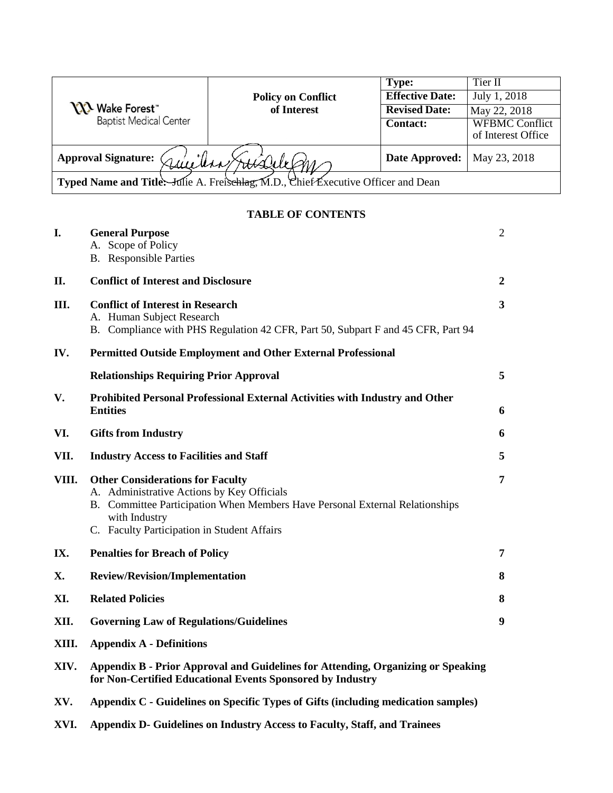|                                                                                  | <b>Policy on Conflict</b><br>of Interest | <b>Type:</b>           | Tier II               |  |
|----------------------------------------------------------------------------------|------------------------------------------|------------------------|-----------------------|--|
| <b>XXX</b> Wake Forest<br><b>Baptist Medical Center</b>                          |                                          | <b>Effective Date:</b> | July 1, 2018          |  |
|                                                                                  |                                          | <b>Revised Date:</b>   | May 22, 2018          |  |
|                                                                                  |                                          | <b>Contact:</b>        | <b>WFBMC Conflict</b> |  |
|                                                                                  |                                          |                        | of Interest Office    |  |
| <b>Approval Signature:</b>                                                       |                                          | Date Approved:         | May 23, 2018          |  |
| Typed Name and Title: Hile A. Freischlag, M.D., Chief Executive Officer and Dean |                                          |                        |                       |  |

# **TABLE OF CONTENTS**

| I.    | <b>General Purpose</b><br>A. Scope of Policy<br><b>B.</b> Responsible Parties                                                                                                                                                         | $\overline{c}$ |
|-------|---------------------------------------------------------------------------------------------------------------------------------------------------------------------------------------------------------------------------------------|----------------|
| II.   | <b>Conflict of Interest and Disclosure</b>                                                                                                                                                                                            | $\overline{2}$ |
| III.  | <b>Conflict of Interest in Research</b><br>A. Human Subject Research<br>B. Compliance with PHS Regulation 42 CFR, Part 50, Subpart F and 45 CFR, Part 94                                                                              | 3              |
| IV.   | <b>Permitted Outside Employment and Other External Professional</b>                                                                                                                                                                   |                |
|       | <b>Relationships Requiring Prior Approval</b>                                                                                                                                                                                         | 5              |
| V.    | Prohibited Personal Professional External Activities with Industry and Other<br><b>Entities</b>                                                                                                                                       | 6              |
| VI.   | <b>Gifts from Industry</b>                                                                                                                                                                                                            | 6              |
| VII.  | <b>Industry Access to Facilities and Staff</b>                                                                                                                                                                                        | 5              |
| VIII. | <b>Other Considerations for Faculty</b><br>A. Administrative Actions by Key Officials<br>B. Committee Participation When Members Have Personal External Relationships<br>with Industry<br>C. Faculty Participation in Student Affairs | 7              |
| IX.   | <b>Penalties for Breach of Policy</b>                                                                                                                                                                                                 | 7              |
| X.    | <b>Review/Revision/Implementation</b>                                                                                                                                                                                                 | 8              |
| XI.   | <b>Related Policies</b>                                                                                                                                                                                                               | 8              |
| XII.  | <b>Governing Law of Regulations/Guidelines</b>                                                                                                                                                                                        | 9              |
| XIII. | <b>Appendix A - Definitions</b>                                                                                                                                                                                                       |                |
| XIV.  | Appendix B - Prior Approval and Guidelines for Attending, Organizing or Speaking<br>for Non-Certified Educational Events Sponsored by Industry                                                                                        |                |
| XV.   | Appendix C - Guidelines on Specific Types of Gifts (including medication samples)                                                                                                                                                     |                |

**XVI. Appendix D- Guidelines on Industry Access to Faculty, Staff, and Trainees**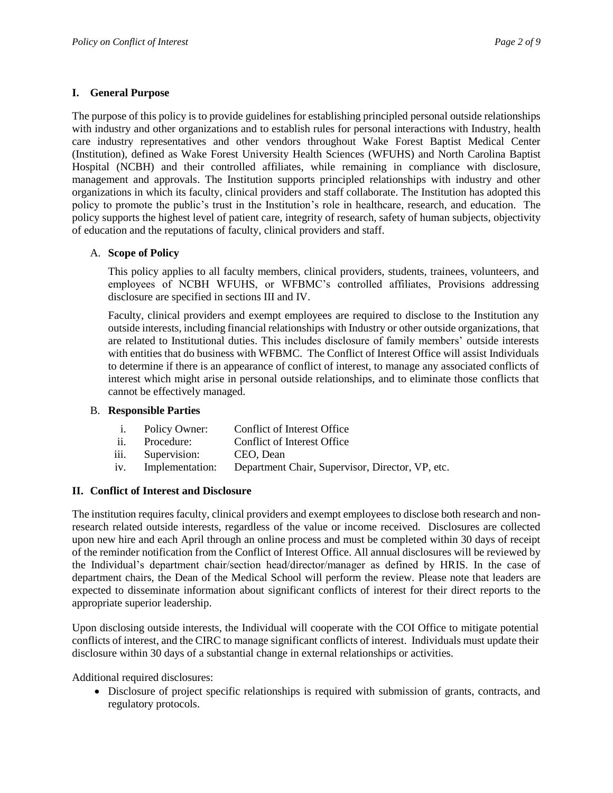### **I. General Purpose**

The purpose of this policy is to provide guidelines for establishing principled personal outside relationships with industry and other organizations and to establish rules for personal interactions with Industry, health care industry representatives and other vendors throughout Wake Forest Baptist Medical Center (Institution), defined as Wake Forest University Health Sciences (WFUHS) and North Carolina Baptist Hospital (NCBH) and their controlled affiliates, while remaining in compliance with disclosure, management and approvals. The Institution supports principled relationships with industry and other organizations in which its faculty, clinical providers and staff collaborate. The Institution has adopted this policy to promote the public's trust in the Institution's role in healthcare, research, and education. The policy supports the highest level of patient care, integrity of research, safety of human subjects, objectivity of education and the reputations of faculty, clinical providers and staff.

### A. **Scope of Policy**

This policy applies to all faculty members, clinical providers, students, trainees, volunteers, and employees of NCBH WFUHS, or WFBMC's controlled affiliates, Provisions addressing disclosure are specified in sections III and IV.

Faculty, clinical providers and exempt employees are required to disclose to the Institution any outside interests, including financial relationships with Industry or other outside organizations, that are related to Institutional duties. This includes disclosure of family members' outside interests with entities that do business with WFBMC. The Conflict of Interest Office will assist Individuals to determine if there is an appearance of conflict of interest, to manage any associated conflicts of interest which might arise in personal outside relationships, and to eliminate those conflicts that cannot be effectively managed.

### B. **Responsible Parties**

| 1.   | Policy Owner:   | Conflict of Interest Office                      |
|------|-----------------|--------------------------------------------------|
| ii.  | Procedure:      | Conflict of Interest Office                      |
| iii. | Supervision:    | CEO. Dean                                        |
| iv.  | Implementation: | Department Chair, Supervisor, Director, VP, etc. |
|      |                 |                                                  |

# **II. Conflict of Interest and Disclosure**

The institution requires faculty, clinical providers and exempt employees to disclose both research and nonresearch related outside interests, regardless of the value or income received. Disclosures are collected upon new hire and each April through an online process and must be completed within 30 days of receipt of the reminder notification from the Conflict of Interest Office. All annual disclosures will be reviewed by the Individual's department chair/section head/director/manager as defined by HRIS. In the case of department chairs, the Dean of the Medical School will perform the review. Please note that leaders are expected to disseminate information about significant conflicts of interest for their direct reports to the appropriate superior leadership.

Upon disclosing outside interests, the Individual will cooperate with the COI Office to mitigate potential conflicts of interest, and the CIRC to manage significant conflicts of interest. Individuals must update their disclosure within 30 days of a substantial change in external relationships or activities.

Additional required disclosures:

 Disclosure of project specific relationships is required with submission of grants, contracts, and regulatory protocols.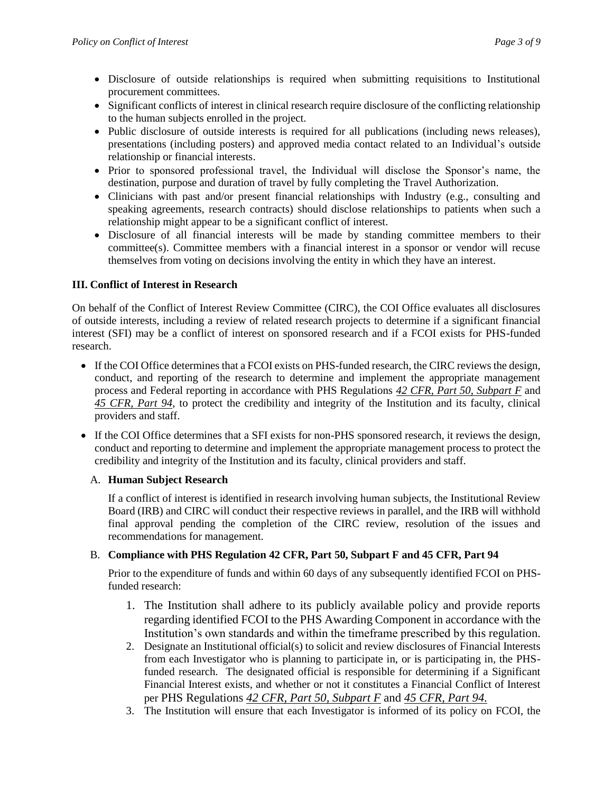- Disclosure of outside relationships is required when submitting requisitions to Institutional procurement committees.
- Significant conflicts of interest in clinical research require disclosure of the conflicting relationship to the human subjects enrolled in the project.
- Public disclosure of outside interests is required for all publications (including news releases), presentations (including posters) and approved media contact related to an Individual's outside relationship or financial interests.
- Prior to sponsored professional travel, the Individual will disclose the Sponsor's name, the destination, purpose and duration of travel by fully completing the [Travel Authorization.](http://infinet.wfubmc.edu/depts/wfuhs_control/pdf/FORM-TRAVEL%20AUTHORIZATION_fillin.pdf)
- Clinicians with past and/or present financial relationships with Industry (e.g., consulting and speaking agreements, research contracts) should disclose relationships to patients when such a relationship might appear to be a significant conflict of interest.
- Disclosure of all financial interests will be made by standing committee members to their committee(s). Committee members with a financial interest in a sponsor or vendor will recuse themselves from voting on decisions involving the entity in which they have an interest.

# **III. Conflict of Interest in Research**

On behalf of the Conflict of Interest Review Committee (CIRC), the COI Office evaluates all disclosures of outside interests, including a review of related research projects to determine if a significant financial interest (SFI) may be a conflict of interest on sponsored research and if a FCOI exists for PHS-funded research.

- If the COI Office determines that a FCOI exists on PHS-funded research, the CIRC reviews the design, conduct, and reporting of the research to determine and implement the appropriate management process and Federal reporting in accordance with PHS Regulations *[42 CFR, Part 50, Subpart F](http://grants.nih.gov/grants/compliance/42_CFR_50_Subpart_F.htm)* and *[45 CFR, Part 94](http://edocket.access.gpo.gov/cfr_2007/octqtr/pdf/45cfr94.4.pdf)*, to protect the credibility and integrity of the Institution and its faculty, clinical providers and staff.
- If the COI Office determines that a SFI exists for non-PHS sponsored research, it reviews the design, conduct and reporting to determine and implement the appropriate management process to protect the credibility and integrity of the Institution and its faculty, clinical providers and staff.

# A. **Human Subject Research**

If a conflict of interest is identified in research involving human subjects, the Institutional Review Board (IRB) and CIRC will conduct their respective reviews in parallel, and the IRB will withhold final approval pending the completion of the CIRC review, resolution of the issues and recommendations for management.

# B. **Compliance with PHS Regulation 42 CFR, Part 50, Subpart F and 45 CFR, Part 94**

Prior to the expenditure of funds and within 60 days of any subsequently identified FCOI on PHSfunded research:

- 1. The Institution shall adhere to its publicly available policy and provide reports regarding identified FCOI to the PHS Awarding Component in accordance with the Institution's own standards and within the timeframe prescribed by this regulation.
- 2. Designate an Institutional official(s) to solicit and review disclosures of Financial Interests from each Investigator who is planning to participate in, or is participating in, the PHSfunded research. The designated official is responsible for determining if a Significant Financial Interest exists, and whether or not it constitutes a Financial Conflict of Interest per PHS Regulations *[42 CFR, Part 50, Subpart F](http://grants.nih.gov/grants/compliance/42_CFR_50_Subpart_F.htm)* and *[45 CFR, Part 94.](http://edocket.access.gpo.gov/cfr_2007/octqtr/pdf/45cfr94.4.pdf)*
- 3. The Institution will ensure that each Investigator is informed of its policy on FCOI, the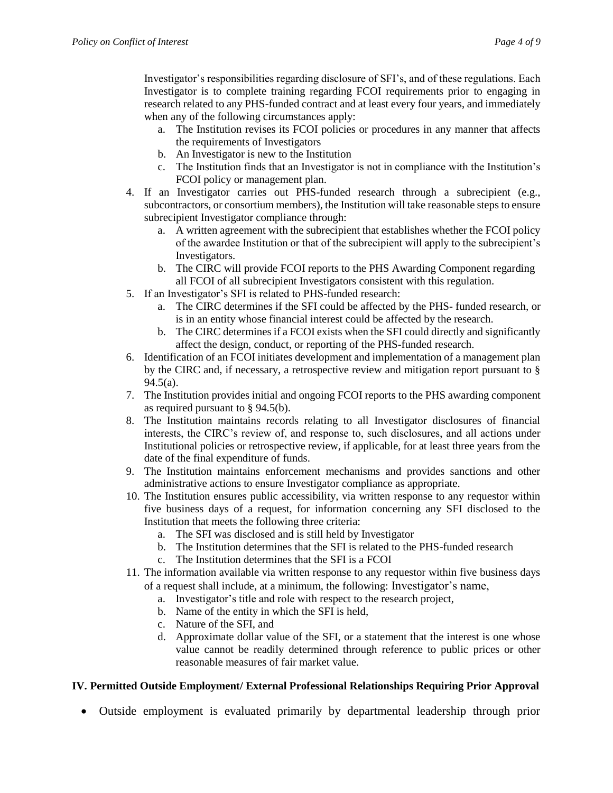Investigator's responsibilities regarding disclosure of SFI's, and of these regulations. Each Investigator is to complete training regarding FCOI requirements prior to engaging in research related to any PHS-funded contract and at least every four years, and immediately when any of the following circumstances apply:

- a. The Institution revises its FCOI policies or procedures in any manner that affects the requirements of Investigators
- b. An Investigator is new to the Institution
- c. The Institution finds that an Investigator is not in compliance with the Institution's FCOI policy or management plan.
- 4. If an Investigator carries out PHS-funded research through a subrecipient (e.g., subcontractors, or consortium members), the Institution will take reasonable steps to ensure subrecipient Investigator compliance through:
	- a. A written agreement with the subrecipient that establishes whether the FCOI policy of the awardee Institution or that of the subrecipient will apply to the subrecipient's Investigators.
	- b. The CIRC will provide FCOI reports to the PHS Awarding Component regarding all FCOI of all subrecipient Investigators consistent with this regulation.
- 5. If an Investigator's SFI is related to PHS-funded research:
	- a. The CIRC determines if the SFI could be affected by the PHS- funded research, or is in an entity whose financial interest could be affected by the research.
	- b. The CIRC determines if a FCOI exists when the SFI could directly and significantly affect the design, conduct, or reporting of the PHS-funded research.
- 6. Identification of an FCOI initiates development and implementation of a management plan by the CIRC and, if necessary, a retrospective review and mitigation report pursuant to §  $94.5(a)$ .
- 7. The Institution provides initial and ongoing FCOI reports to the PHS awarding component as required pursuant to § 94.5(b).
- 8. The Institution maintains records relating to all Investigator disclosures of financial interests, the CIRC's review of, and response to, such disclosures, and all actions under Institutional policies or retrospective review, if applicable, for at least three years from the date of the final expenditure of funds.
- 9. The Institution maintains enforcement mechanisms and provides sanctions and other administrative actions to ensure Investigator compliance as appropriate.
- 10. The Institution ensures public accessibility, via written response to any requestor within five business days of a request, for information concerning any SFI disclosed to the Institution that meets the following three criteria:
	- a. The SFI was disclosed and is still held by Investigator
	- b. The Institution determines that the SFI is related to the PHS-funded research
	- c. The Institution determines that the SFI is a FCOI
- 11. The information available via written response to any requestor within five business days of a request shall include, at a minimum, the following: Investigator's name,
	- a. Investigator's title and role with respect to the research project,
	- b. Name of the entity in which the SFI is held,
	- c. Nature of the SFI, and
	- d. Approximate dollar value of the SFI, or a statement that the interest is one whose value cannot be readily determined through reference to public prices or other reasonable measures of fair market value.

# **IV. Permitted Outside Employment/ External Professional Relationships Requiring Prior Approval**

Outside employment is evaluated primarily by departmental leadership through prior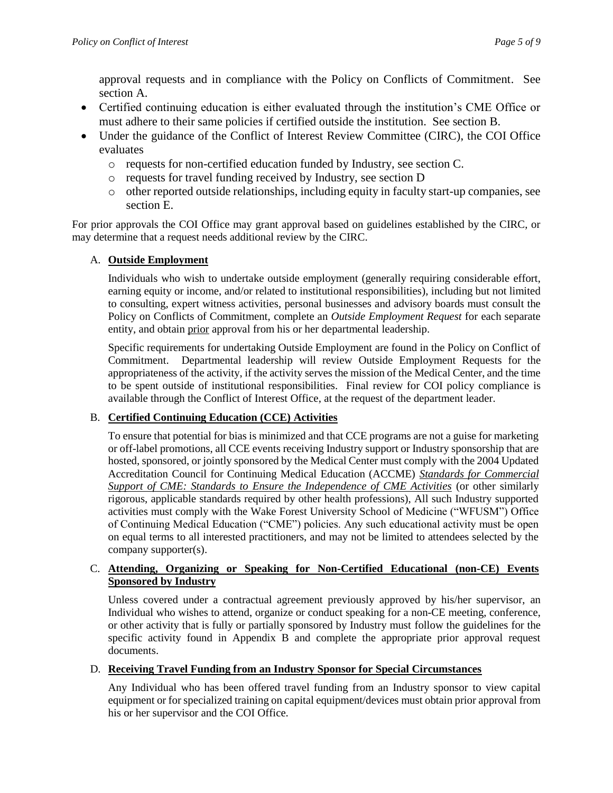approval requests and in compliance with the Policy on Conflicts of Commitment. See section A.

- Certified continuing education is either evaluated through the institution's CME Office or must adhere to their same policies if certified outside the institution. See section B.
- Under the guidance of the Conflict of Interest Review Committee (CIRC), the COI Office evaluates
	- o requests for non-certified education funded by Industry, see section C.
	- o requests for travel funding received by Industry, see section D
	- o other reported outside relationships, including equity in faculty start-up companies, see section E.

For prior approvals the COI Office may grant approval based on guidelines established by the CIRC, or may determine that a request needs additional review by the CIRC.

# A. **Outside Employment**

Individuals who wish to undertake outside employment (generally requiring considerable effort, earning equity or income, and/or related to institutional responsibilities), including but not limited to consulting, expert witness activities, personal businesses and advisory boards must consult the Policy on Conflicts of Commitment, complete an *Outside Employment Request* for each separate entity, and obtain prior approval from his or her departmental leadership.

Specific requirements for undertaking Outside Employment are found in the Policy on Conflict of Commitment. Departmental leadership will review Outside Employment Requests for the appropriateness of the activity, if the activity serves the mission of the Medical Center, and the time to be spent outside of institutional responsibilities. Final review for COI policy compliance is available through the Conflict of Interest Office, at the request of the department leader.

# B. **Certified Continuing Education (CCE) Activities**

To ensure that potential for bias is minimized and that CCE programs are not a guise for marketing or off-label promotions, all CCE events receiving Industry support or Industry sponsorship that are hosted, sponsored, or jointly sponsored by the Medical Center must comply with the 2004 Updated Accreditation Council for Continuing Medical Education (ACCME) *[Standards for Commercial](http://www.accme.org/dir_docs/doc_upload/68b2902a-fb73-44d1-8725-80a1504e520c_uploaddocument.pdf) [Support of CME: Standards to Ensure the Independence of CME Activities](http://www.accme.org/dir_docs/doc_upload/68b2902a-fb73-44d1-8725-80a1504e520c_uploaddocument.pdf)* (or other similarly rigorous, applicable standards required by other health professions), All such Industry supported activities must comply with the Wake Forest University School of Medicine ("WFUSM") Office of Continuing Medical Education ("CME") policies. Any such educational activity must be open on equal terms to all interested practitioners, and may not be limited to attendees selected by the company supporter(s).

### C. **Attending, Organizing or Speaking for Non-Certified Educational (non-CE) Events Sponsored by Industry**

Unless covered under a contractual agreement previously approved by his/her supervisor, an Individual who wishes to attend, organize or conduct speaking for a non-CE meeting, conference, or other activity that is fully or partially sponsored by Industry must follow the guidelines for the specific activity found in Appendix B and complete the appropriate prior approval request documents.

# D. **Receiving Travel Funding from an Industry Sponsor for Special Circumstances**

Any Individual who has been offered travel funding from an Industry sponsor to view capital equipment or for specialized training on capital equipment/devices must obtain prior approval from his or her supervisor and the COI Office.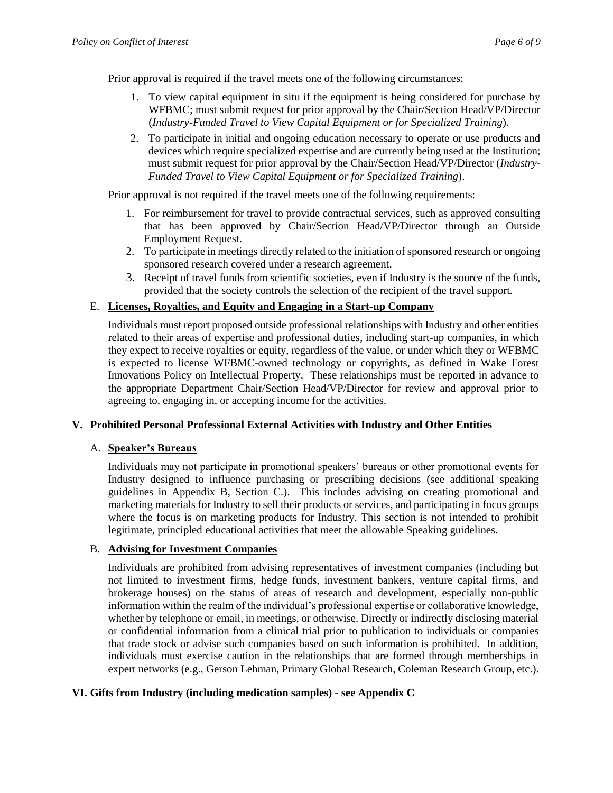Prior approval is required if the travel meets one of the following circumstances:

- 1. To view capital equipment in situ if the equipment is being considered for purchase by WFBMC; must submit request for prior approval by the Chair/Section Head/VP/Director (*Industry-Funded Travel to View Capital Equipment or for Specialized Training*).
- 2. To participate in initial and ongoing education necessary to operate or use products and devices which require specialized expertise and are currently being used at the Institution; must submit request for prior approval by the Chair/Section Head/VP/Director (*Industry-Funded Travel to View Capital Equipment or for Specialized Training*).

Prior approval is not required if the travel meets one of the following requirements:

- 1. For reimbursement for travel to provide contractual services, such as approved consulting that has been approved by Chair/Section Head/VP/Director through an Outside Employment Request.
- 2. To participate in meetings directly related to the initiation of sponsored research or ongoing sponsored research covered under a research agreement.
- 3. Receipt of travel funds from scientific societies, even if Industry is the source of the funds, provided that the society controls the selection of the recipient of the travel support.

### E. **Licenses, Royalties, and Equity and Engaging in a Start-up Company**

Individuals must report proposed outside professional relationships with Industry and other entities related to their areas of expertise and professional duties, including start-up companies, in which they expect to receive royalties or equity, regardless of the value, or under which they or WFBMC is expected to license WFBMC-owned technology or copyrights, as defined in Wake Forest Innovations Policy on Intellectual Property. These relationships must be reported in advance to the appropriate Department Chair/Section Head/VP/Director for review and approval prior to agreeing to, engaging in, or accepting income for the activities.

### **V. Prohibited Personal Professional External Activities with Industry and Other Entities**

### A. **Speaker's Bureaus**

Individuals may not participate in promotional speakers' bureaus or other promotional events for Industry designed to influence purchasing or prescribing decisions (see additional speaking guidelines in Appendix B, Section C.). This includes advising on creating promotional and marketing materials for Industry to sell their products or services, and participating in focus groups where the focus is on marketing products for Industry. This section is not intended to prohibit legitimate, principled educational activities that meet the allowable Speaking guidelines.

### B. **Advising for Investment Companies**

Individuals are prohibited from advising representatives of investment companies (including but not limited to investment firms, hedge funds, investment bankers, venture capital firms, and brokerage houses) on the status of areas of research and development, especially non-public information within the realm of the individual's professional expertise or collaborative knowledge, whether by telephone or email, in meetings, or otherwise. Directly or indirectly disclosing material or confidential information from a clinical trial prior to publication to individuals or companies that trade stock or advise such companies based on such information is prohibited. In addition, individuals must exercise caution in the relationships that are formed through memberships in expert networks (e.g., Gerson Lehman, Primary Global Research, Coleman Research Group, etc.).

### **VI. Gifts from Industry (including medication samples) - see Appendix C**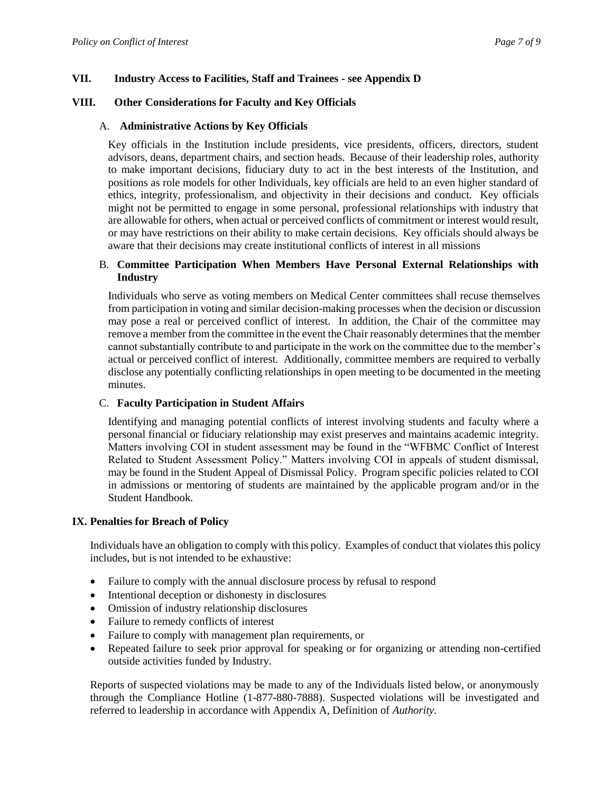### **VII. Industry Access to Facilities, Staff and Trainees - see Appendix D**

#### **VIII. Other Considerations for Faculty and Key Officials**

#### A. **Administrative Actions by Key Officials**

Key officials in the Institution include presidents, vice presidents, officers, directors, student advisors, deans, department chairs, and section heads. Because of their leadership roles, authority to make important decisions, fiduciary duty to act in the best interests of the Institution, and positions as role models for other Individuals, key officials are held to an even higher standard of ethics, integrity, professionalism, and objectivity in their decisions and conduct. Key officials might not be permitted to engage in some personal, professional relationships with industry that are allowable for others, when actual or perceived conflicts of commitment or interest would result, or may have restrictions on their ability to make certain decisions. Key officials should always be aware that their decisions may create institutional conflicts of interest in all missions

### B. **Committee Participation When Members Have Personal External Relationships with Industry**

Individuals who serve as voting members on Medical Center committees shall recuse themselves from participation in voting and similar decision-making processes when the decision or discussion may pose a real or perceived conflict of interest. In addition, the Chair of the committee may remove a member from the committee in the event the Chair reasonably determines that the member cannot substantially contribute to and participate in the work on the committee due to the member's actual or perceived conflict of interest. Additionally, committee members are required to verbally disclose any potentially conflicting relationships in open meeting to be documented in the meeting minutes.

#### C. **Faculty Participation in Student Affairs**

Identifying and managing potential conflicts of interest involving students and faculty where a personal financial or fiduciary relationship may exist preserves and maintains academic integrity. Matters involving COI in student assessment may be found in the "WFBMC Conflict of Interest Related to Student Assessment Policy." Matters involving COI in appeals of student dismissal, may be found in the Student Appeal of Dismissal Policy. Program specific policies related to COI in admissions or mentoring of students are maintained by the applicable program and/or in the Student Handbook.

#### **IX. Penalties for Breach of Policy**

Individuals have an obligation to comply with this policy. Examples of conduct that violates this policy includes, but is not intended to be exhaustive:

- Failure to comply with the annual disclosure process by refusal to respond
- Intentional deception or dishonesty in disclosures
- Omission of industry relationship disclosures
- Failure to remedy conflicts of interest
- Failure to comply with management plan requirements, or
- Repeated failure to seek prior approval for speaking or for organizing or attending non-certified outside activities funded by Industry.

Reports of suspected violations may be made to any of the Individuals listed below, or anonymously through the Compliance Hotline (1-877-880-7888). Suspected violations will be investigated and referred to leadership in accordance with Appendix A, Definition of *Authority.*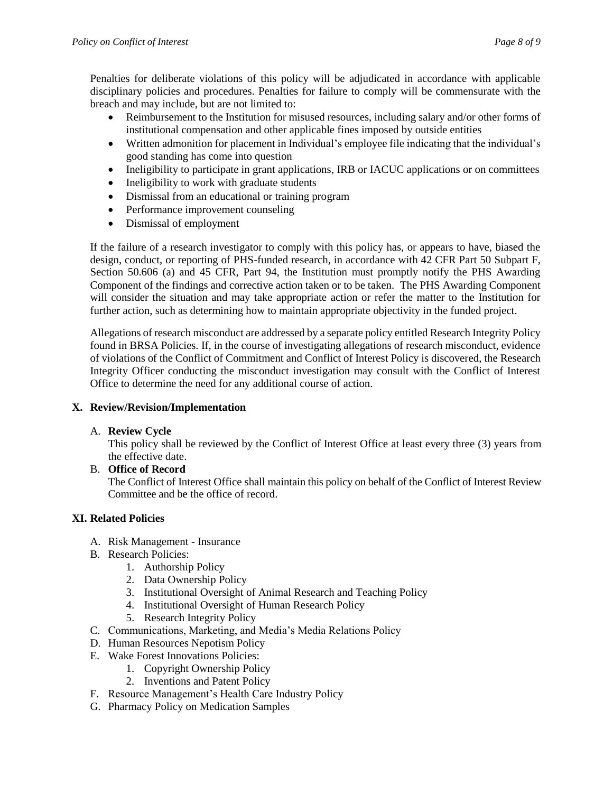Penalties for deliberate violations of this policy will be adjudicated in accordance with applicable disciplinary policies and procedures. Penalties for failure to comply will be commensurate with the breach and may include, but are not limited to:

- Reimbursement to the Institution for misused resources, including salary and/or other forms of institutional compensation and other applicable fines imposed by outside entities
- Written admonition for placement in Individual's employee file indicating that the individual's good standing has come into question
- Ineligibility to participate in grant applications, IRB or IACUC applications or on committees
- Ineligibility to work with graduate students
- Dismissal from an educational or training program
- Performance improvement counseling
- Dismissal of employment

If the failure of a research investigator to comply with this policy has, or appears to have, biased the design, conduct, or reporting of PHS-funded research, in accordance with 42 CFR Part 50 Subpart F, Section 50.606 (a) and 45 CFR, Part 94, the Institution must promptly notify the PHS Awarding Component of the findings and corrective action taken or to be taken. The PHS Awarding Component will consider the situation and may take appropriate action or refer the matter to the Institution for further action, such as determining how to maintain appropriate objectivity in the funded project.

Allegations of research misconduct are addressed by a separate policy entitle[d Research](http://intranet.wakehealth.edu/Departments/Office-of-Research/Research-Integrity-Policy.htm) Integrity Policy found in BRSA Policies*.* If, in the course of investigating allegations of research misconduct, evidence of violations of the Conflict of Commitment and Conflict of Interest Policy is discovered, the Research Integrity Officer conducting the misconduct investigation may consult with the Conflict of Interest Office to determine the need for any additional course of action.

# **X. Review/Revision/Implementation**

# A. **Review Cycle**

This policy shall be reviewed by the Conflict of Interest Office at least every three (3) years from the effective date.

B. **Office of Record**

The Conflict of Interest Office shall maintain this policy on behalf of the Conflict of Interest Review Committee and be the office of record.

# **XI. Related Policies**

- A. [Risk Management -](http://infinet.wfubmc.edu/depts/risk/insurance/welcome.cfm) Insurance
- B. Research Policies:
	- 1. Authorship Policy
	- 2. Data Ownership Policy
	- 3. Institutional Oversight of Animal Research and Teaching Policy
	- 4. Institutional Oversight of Human Research Policy
	- 5. Research Integrity Policy
- C. Communications, Marketing, and Media's Media Relations Policy
- D. [Human Resources Nepotism Policy](http://infinet.wfubmc.edu/depts/wfusm_hr/Policy2004/NEPOTISM.PER.htm)
- E. [Wake](http://infinet.wfubmc.edu/depts/wfusm_hr/Policy2004/NEPOTISM.PER.htm) Forest Innovations Policies:
	- 1. Copyright Ownership Policy
	- 2. Inventions and Patent Policy
- F. Resource Management's Health Care Industry Policy
- G. Pharmacy Policy on Medication Samples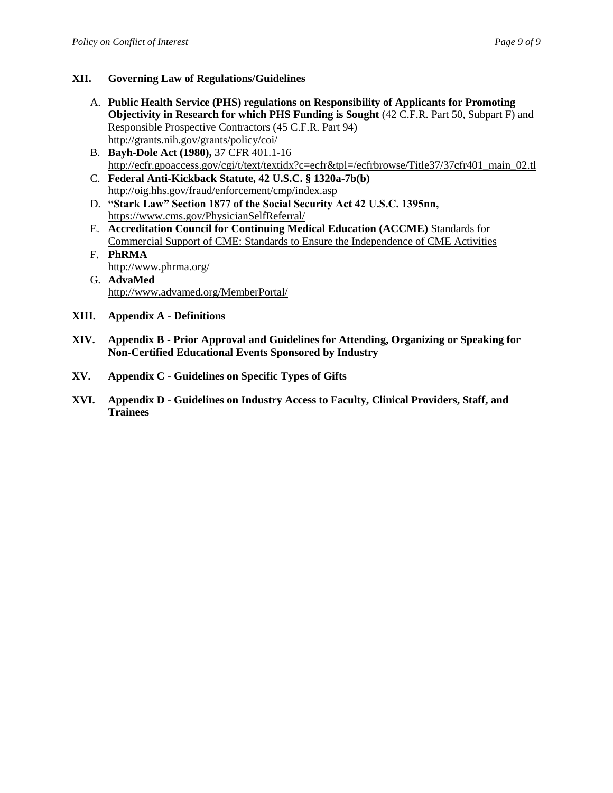### **XII. Governing Law of Regulations/Guidelines**

- A. **Public Health Service (PHS) regulations on Responsibility of Applicants for Promoting Objectivity in Research for which PHS Funding is Sought** (42 C.F.R. Part 50, Subpart F) and Responsible Prospective Contractors (45 C.F.R. Part 94) <http://grants.nih.gov/grants/policy/coi/>
- B. **Bayh-Dole Act (1980),** 37 CFR 401.1-16 [http://ecfr.gpoaccess.gov/cgi/t/text/textidx?c=ecfr&tpl=/ecfrbrowse/Title37/37cfr401\\_main\\_02.tl](http://ecfr.gpoaccess.gov/cgi/t/text/textidx?c=ecfr&tpl=/ecfrbrowse/Title37/37cfr401_main_02.tl)
- C. **Federal Anti-Kickback Statute, 42 U.S.C. § 1320a-7b(b)** <http://oig.hhs.gov/fraud/enforcement/cmp/index.asp>
- D. **"Stark Law" Section 1877 of the Social Security Act 42 U.S.C. 1395nn,** <https://www.cms.gov/PhysicianSelfReferral/>
- E. **Accreditation Council for Continuing Medical Education (ACCME)** [Standards for](http://www.accme.org/dir_docs/doc_upload/68b2902a-fb73-44d1-8725-80a1504e520c_uploaddocument.pdf) [Commercial Support of CME: Standards to Ensure the Independence of CME Activities](http://www.accme.org/dir_docs/doc_upload/68b2902a-fb73-44d1-8725-80a1504e520c_uploaddocument.pdf)
- F. **PhRMA** http://www.phrma.org/
- G. **AdvaMed** <http://www.advamed.org/MemberPortal/>
- **XIII. Appendix A - Definitions**
- **XIV. Appendix B - Prior Approval and Guidelines for Attending, Organizing or Speaking for Non-Certified Educational Events Sponsored by Industry**
- **XV. Appendix C - Guidelines on Specific Types of Gifts**
- **XVI. Appendix D - Guidelines on Industry Access to Faculty, Clinical Providers, Staff, and Trainees**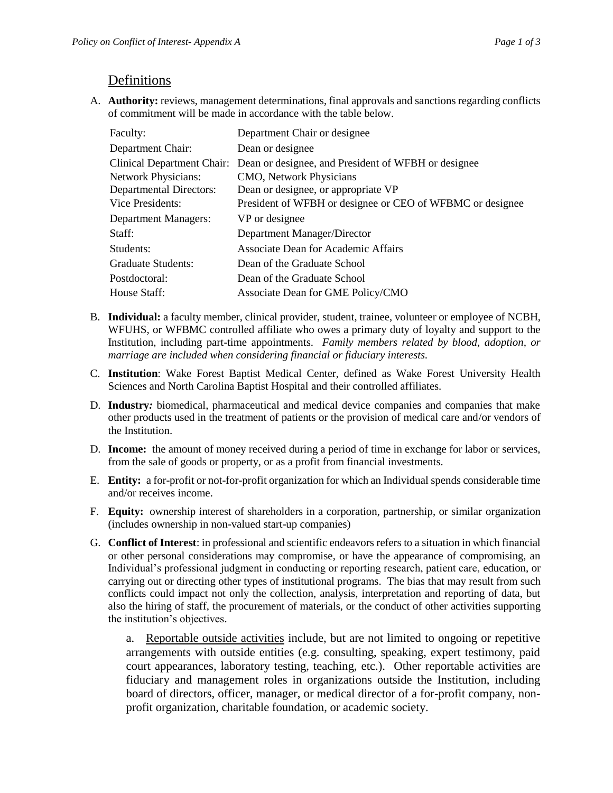# Definitions

A. **Authority:** reviews, management determinations, final approvals and sanctions regarding conflicts of commitment will be made in accordance with the table below.

| Faculty:                          | Department Chair or designee                              |
|-----------------------------------|-----------------------------------------------------------|
| Department Chair:                 | Dean or designee                                          |
| <b>Clinical Department Chair:</b> | Dean or designee, and President of WFBH or designee       |
| <b>Network Physicians:</b>        | CMO, Network Physicians                                   |
| <b>Departmental Directors:</b>    | Dean or designee, or appropriate VP                       |
| Vice Presidents:                  | President of WFBH or designee or CEO of WFBMC or designee |
| <b>Department Managers:</b>       | VP or designee                                            |
| Staff:                            | Department Manager/Director                               |
| Students:                         | Associate Dean for Academic Affairs                       |
| Graduate Students:                | Dean of the Graduate School                               |
| Postdoctoral:                     | Dean of the Graduate School                               |
| House Staff:                      | Associate Dean for GME Policy/CMO                         |

- B. **Individual:** a faculty member, clinical provider, student, trainee, volunteer or employee of NCBH, WFUHS, or WFBMC controlled affiliate who owes a primary duty of loyalty and support to the Institution, including part-time appointments. *Family members related by blood, adoption, or marriage are included when considering financial or fiduciary interests.*
- C. **Institution**: Wake Forest Baptist Medical Center, defined as Wake Forest University Health Sciences and North Carolina Baptist Hospital and their controlled affiliates.
- D. **Industry***:* biomedical, pharmaceutical and medical device companies and companies that make other products used in the treatment of patients or the provision of medical care and/or vendors of the Institution.
- D. **Income:** the amount of money received during a period of time in exchange for labor or services, from the sale of goods or property, or as a profit from financial investments.
- E. **Entity:** a for-profit or not-for-profit organization for which an Individual spends considerable time and/or receives income.
- F. **Equity:** ownership interest of shareholders in a corporation, partnership, or similar organization (includes ownership in non-valued start-up companies)
- G. **Conflict of Interest**: in professional and scientific endeavors refers to a situation in which financial or other personal considerations may compromise, or have the appearance of compromising, an Individual's professional judgment in conducting or reporting research, patient care, education, or carrying out or directing other types of institutional programs. The bias that may result from such conflicts could impact not only the collection, analysis, interpretation and reporting of data, but also the hiring of staff, the procurement of materials, or the conduct of other activities supporting the institution's objectives.

a. Reportable outside activities include, but are not limited to ongoing or repetitive arrangements with outside entities (e.g. consulting, speaking, expert testimony, paid court appearances, laboratory testing, teaching, etc.). Other reportable activities are fiduciary and management roles in organizations outside the Institution, including board of directors, officer, manager, or medical director of a for-profit company, nonprofit organization, charitable foundation, or academic society.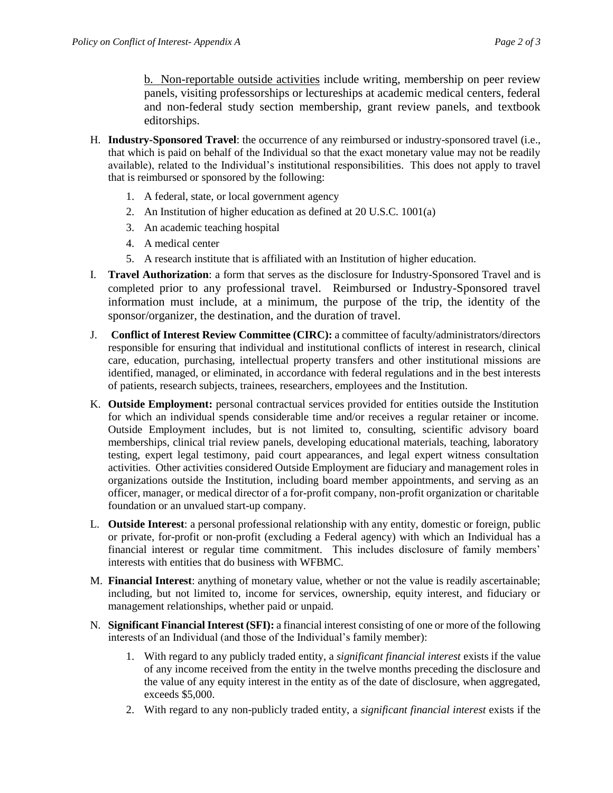b. Non-reportable outside activities include writing, membership on peer review panels, visiting professorships or lectureships at academic medical centers, federal and non-federal study section membership, grant review panels, and textbook editorships.

- H. **Industry-Sponsored Travel**: the occurrence of any reimbursed or industry-sponsored travel (i.e., that which is paid on behalf of the Individual so that the exact monetary value may not be readily available), related to the Individual's institutional responsibilities. This does not apply to travel that is reimbursed or sponsored by the following:
	- 1. A federal, state, or local government agency
	- 2. An Institution of higher education as defined at 20 U.S.C. 1001(a)
	- 3. An academic teaching hospital
	- 4. A medical center
	- 5. A research institute that is affiliated with an Institution of higher education.
- I. **Travel Authorization**: a form that serves as the disclosure for Industry-Sponsored Travel and is completed prior to any professional travel. Reimbursed or Industry-Sponsored travel information must include, at a minimum, the purpose of the trip, the identity of the sponsor/organizer, the destination, and the duration of travel.
- J. **[Conflict of Interest Review](http://intranet.wakehealth.edu/Departments/COI/About-Us/Conflict-Of-Interest-In-Research-Committee-(CIRC).htm) Committee (CIRC):** a committee of faculty/administrators/directors responsible for ensuring that individual and institutional conflicts of interest in research, clinical care, education, purchasing, intellectual property transfers and other institutional missions are identified, managed, or eliminated, in accordance with federal regulations and in the best interests of patients, research subjects, trainees, researchers, employees and the Institution.
- K. **Outside Employment:** personal contractual services provided for entities outside the Institution for which an individual spends considerable time and/or receives a regular retainer or income. Outside Employment includes, but is not limited to, consulting, scientific advisory board memberships, clinical trial review panels, developing educational materials, teaching, laboratory testing, expert legal testimony, paid court appearances, and legal expert witness consultation activities. Other activities considered Outside Employment are fiduciary and management roles in organizations outside the Institution, including board member appointments, and serving as an officer, manager, or medical director of a for-profit company, non-profit organization or charitable foundation or an unvalued start-up company.
- L. **Outside Interest**: a personal professional relationship with any entity, domestic or foreign, public or private, for-profit or non-profit (excluding a Federal agency) with which an Individual has a financial interest or regular time commitment. This includes disclosure of family members' interests with entities that do business with WFBMC.
- M. **Financial Interest**: anything of monetary value, whether or not the value is readily ascertainable; including, but not limited to, income for services, ownership, equity interest, and fiduciary or management relationships, whether paid or unpaid.
- N. **Significant Financial Interest (SFI):** a financial interest consisting of one or more of the following interests of an Individual (and those of the Individual's family member):
	- 1. With regard to any publicly traded entity, a *significant financial interest* exists if the value of any income received from the entity in the twelve months preceding the disclosure and the value of any equity interest in the entity as of the date of disclosure, when aggregated, exceeds \$5,000.
	- 2. With regard to any non-publicly traded entity, a *significant financial interest* exists if the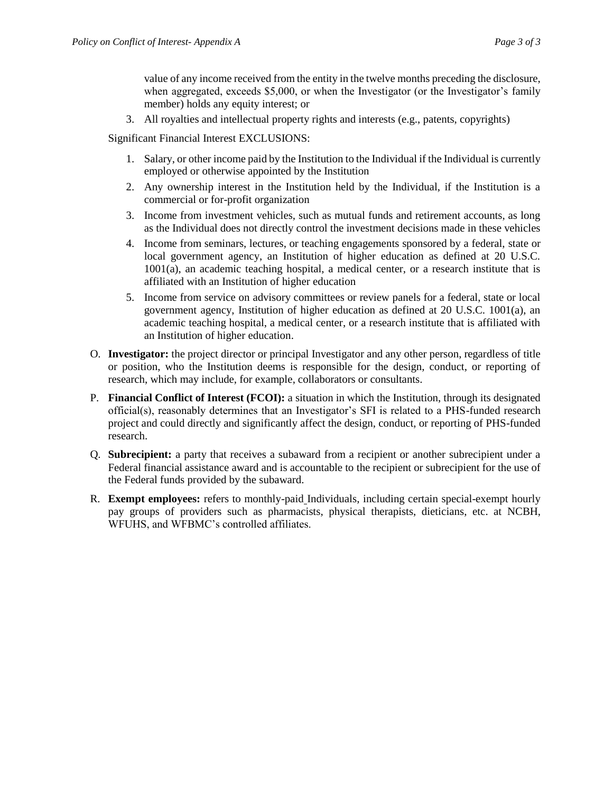value of any income received from the entity in the twelve months preceding the disclosure, when aggregated, exceeds \$5,000, or when the Investigator (or the Investigator's family member) holds any equity interest; or

3. All royalties and intellectual property rights and interests (e.g., patents, copyrights)

Significant Financial Interest EXCLUSIONS:

- 1. Salary, or other income paid by the Institution to the Individual if the Individual is currently employed or otherwise appointed by the Institution
- 2. Any ownership interest in the Institution held by the Individual, if the Institution is a commercial or for-profit organization
- 3. Income from investment vehicles, such as mutual funds and retirement accounts, as long as the Individual does not directly control the investment decisions made in these vehicles
- 4. Income from seminars, lectures, or teaching engagements sponsored by a federal, state or local government agency, an Institution of higher education as defined at 20 U.S.C. 1001(a), an academic teaching hospital, a medical center, or a research institute that is affiliated with an Institution of higher education
- 5. Income from service on advisory committees or review panels for a federal, state or local government agency, Institution of higher education as defined at 20 U.S.C. 1001(a), an academic teaching hospital, a medical center, or a research institute that is affiliated with an Institution of higher education.
- O. **Investigator:** the project director or principal Investigator and any other person, regardless of title or position, who the Institution deems is responsible for the design, conduct, or reporting of research, which may include, for example, collaborators or consultants.
- P. **Financial Conflict of Interest (FCOI):** a situation in which the Institution, through its designated official(s), reasonably determines that an Investigator's SFI is related to a PHS-funded research project and could directly and significantly affect the design, conduct, or reporting of PHS-funded research.
- Q. **Subrecipient:** a party that receives a subaward from a recipient or another subrecipient under a Federal financial assistance award and is accountable to the recipient or subrecipient for the use of the Federal funds provided by the subaward.
- R. **Exempt employees:** refers to monthly-paid Individuals, including certain special-exempt hourly pay groups of providers such as pharmacists, physical therapists, dieticians, etc. at NCBH, WFUHS, and WFBMC's controlled affiliates.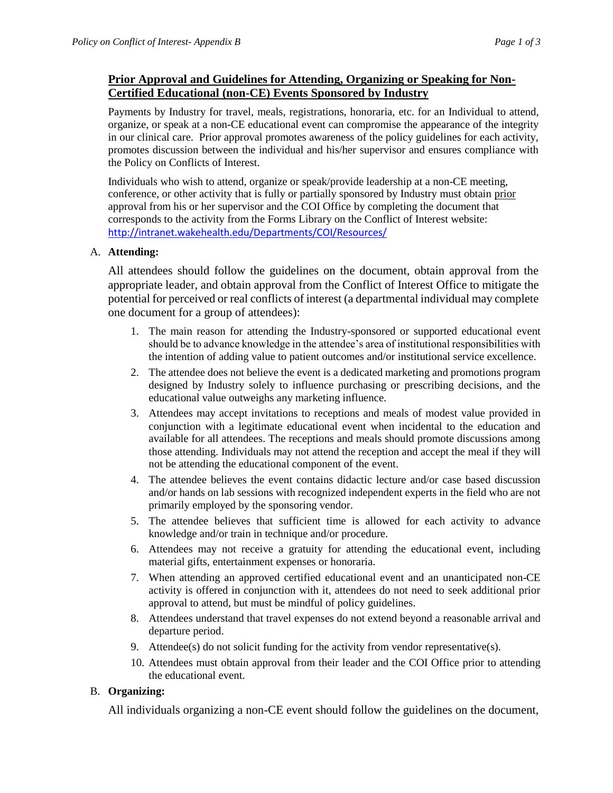# **Prior Approval and Guidelines for Attending, Organizing or Speaking for Non-Certified Educational (non-CE) Events Sponsored by Industry**

Payments by Industry for travel, meals, registrations, honoraria, etc. for an Individual to attend, organize, or speak at a non-CE educational event can compromise the appearance of the integrity in our clinical care. Prior approval promotes awareness of the policy guidelines for each activity, promotes discussion between the individual and his/her supervisor and ensures compliance with the Policy on Conflicts of Interest.

Individuals who wish to attend, organize or speak/provide leadership at a non-CE meeting, conference, or other activity that is fully or partially sponsored by Industry must obtain prior approval from his or her supervisor and the COI Office by completing the document that corresponds to the activity from the Forms Library on the Conflict of Interest website: <http://intranet.wakehealth.edu/Departments/COI/Resources/>

# A. **Attending:**

All attendees should follow the guidelines on the document, obtain approval from the appropriate leader, and obtain approval from the Conflict of Interest Office to mitigate the potential for perceived or real conflicts of interest (a departmental individual may complete one document for a group of attendees):

- 1. The main reason for attending the Industry-sponsored or supported educational event should be to advance knowledge in the attendee's area of institutional responsibilities with the intention of adding value to patient outcomes and/or institutional service excellence.
- 2. The attendee does not believe the event is a dedicated marketing and promotions program designed by Industry solely to influence purchasing or prescribing decisions, and the educational value outweighs any marketing influence.
- 3. Attendees may accept invitations to receptions and meals of modest value provided in conjunction with a legitimate educational event when incidental to the education and available for all attendees. The receptions and meals should promote discussions among those attending. Individuals may not attend the reception and accept the meal if they will not be attending the educational component of the event.
- 4. The attendee believes the event contains didactic lecture and/or case based discussion and/or hands on lab sessions with recognized independent experts in the field who are not primarily employed by the sponsoring vendor.
- 5. The attendee believes that sufficient time is allowed for each activity to advance knowledge and/or train in technique and/or procedure.
- 6. Attendees may not receive a gratuity for attending the educational event, including material gifts, entertainment expenses or honoraria.
- 7. When attending an approved certified educational event and an unanticipated non-CE activity is offered in conjunction with it, attendees do not need to seek additional prior approval to attend, but must be mindful of policy guidelines.
- 8. Attendees understand that travel expenses do not extend beyond a reasonable arrival and departure period.
- 9. Attendee(s) do not solicit funding for the activity from vendor representative(s).
- 10. Attendees must obtain approval from their leader and the COI Office prior to attending the educational event.

# B. **Organizing:**

All individuals organizing a non-CE event should follow the guidelines on the document,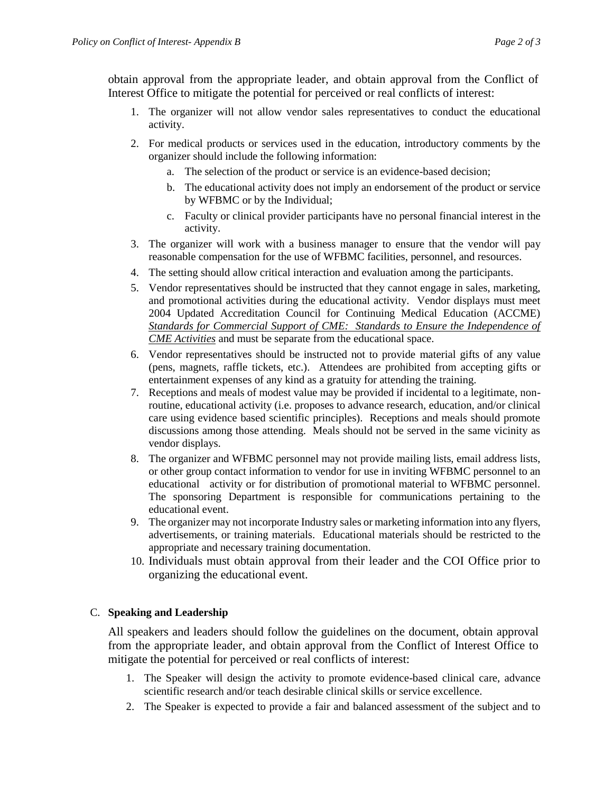obtain approval from the appropriate leader, and obtain approval from the Conflict of Interest Office to mitigate the potential for perceived or real conflicts of interest:

- 1. The organizer will not allow vendor sales representatives to conduct the educational activity.
- 2. For medical products or services used in the education, introductory comments by the organizer should include the following information:
	- a. The selection of the product or service is an evidence-based decision;
	- b. The educational activity does not imply an endorsement of the product or service by WFBMC or by the Individual;
	- c. Faculty or clinical provider participants have no personal financial interest in the activity.
- 3. The organizer will work with a business manager to ensure that the vendor will pay reasonable compensation for the use of WFBMC facilities, personnel, and resources.
- 4. The setting should allow critical interaction and evaluation among the participants.
- 5. Vendor representatives should be instructed that they cannot engage in sales, marketing, and promotional activities during the educational activity. Vendor displays must meet 2004 Updated Accreditation Council for Continuing Medical Education (ACCME) *Standards for Commercial Support of CME: Standards to Ensure the Independence of CME Activities* and must be separate from the educational space.
- 6. Vendor representatives should be instructed not to provide material gifts of any value (pens, magnets, raffle tickets, etc.). Attendees are prohibited from accepting gifts or entertainment expenses of any kind as a gratuity for attending the training.
- 7. Receptions and meals of modest value may be provided if incidental to a legitimate, nonroutine, educational activity (i.e. proposes to advance research, education, and/or clinical care using evidence based scientific principles). Receptions and meals should promote discussions among those attending. Meals should not be served in the same vicinity as vendor displays.
- 8. The organizer and WFBMC personnel may not provide mailing lists, email address lists, or other group contact information to vendor for use in inviting WFBMC personnel to an educational activity or for distribution of promotional material to WFBMC personnel. The sponsoring Department is responsible for communications pertaining to the educational event.
- 9. The organizer may not incorporate Industry sales or marketing information into any flyers, advertisements, or training materials. Educational materials should be restricted to the appropriate and necessary training documentation.
- 10. Individuals must obtain approval from their leader and the COI Office prior to organizing the educational event.

# C. **Speaking and Leadership**

All speakers and leaders should follow the guidelines on the document, obtain approval from the appropriate leader, and obtain approval from the Conflict of Interest Office to mitigate the potential for perceived or real conflicts of interest:

- 1. The Speaker will design the activity to promote evidence-based clinical care, advance scientific research and/or teach desirable clinical skills or service excellence.
- 2. The Speaker is expected to provide a fair and balanced assessment of the subject and to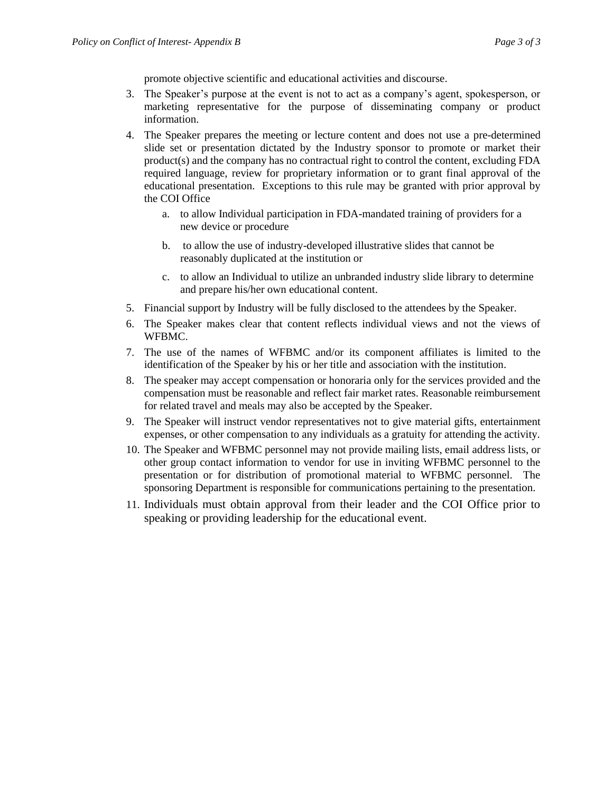promote objective scientific and educational activities and discourse.

- 3. The Speaker's purpose at the event is not to act as a company's agent, spokesperson, or marketing representative for the purpose of disseminating company or product information.
- 4. The Speaker prepares the meeting or lecture content and does not use a pre-determined slide set or presentation dictated by the Industry sponsor to promote or market their product(s) and the company has no contractual right to control the content, excluding FDA required language, review for proprietary information or to grant final approval of the educational presentation. Exceptions to this rule may be granted with prior approval by the COI Office
	- a. to allow Individual participation in FDA-mandated training of providers for a new device or procedure
	- b. to allow the use of industry-developed illustrative slides that cannot be reasonably duplicated at the institution or
	- c. to allow an Individual to utilize an unbranded industry slide library to determine and prepare his/her own educational content.
- 5. Financial support by Industry will be fully disclosed to the attendees by the Speaker.
- 6. The Speaker makes clear that content reflects individual views and not the views of WFBMC.
- 7. The use of the names of WFBMC and/or its component affiliates is limited to the identification of the Speaker by his or her title and association with the institution.
- 8. The speaker may accept compensation or honoraria only for the services provided and the compensation must be reasonable and reflect fair market rates. Reasonable reimbursement for related travel and meals may also be accepted by the Speaker.
- 9. The Speaker will instruct vendor representatives not to give material gifts, entertainment expenses, or other compensation to any individuals as a gratuity for attending the activity.
- 10. The Speaker and WFBMC personnel may not provide mailing lists, email address lists, or other group contact information to vendor for use in inviting WFBMC personnel to the presentation or for distribution of promotional material to WFBMC personnel. The sponsoring Department is responsible for communications pertaining to the presentation.
- 11. Individuals must obtain approval from their leader and the COI Office prior to speaking or providing leadership for the educational event.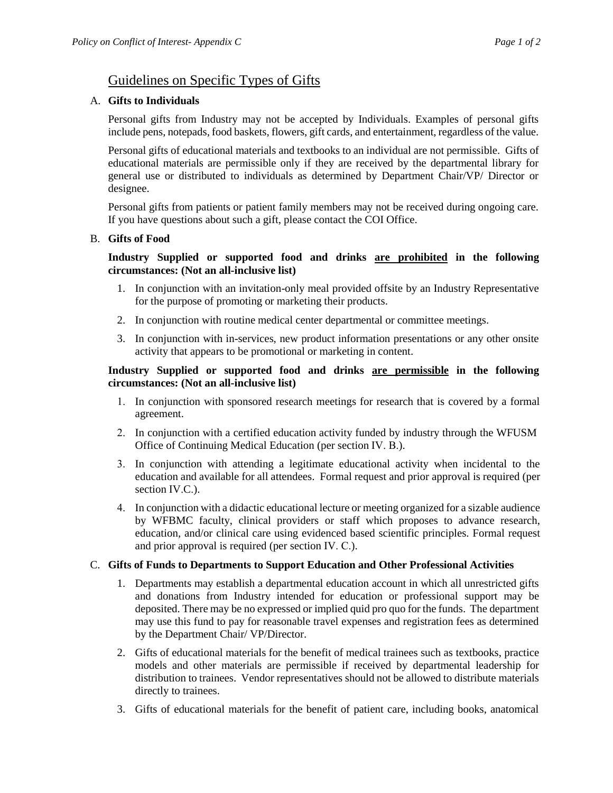# Guidelines on Specific Types of Gifts

### A. **Gifts to Individuals**

Personal gifts from Industry may not be accepted by Individuals. Examples of personal gifts include pens, notepads, food baskets, flowers, gift cards, and entertainment, regardless of the value.

Personal gifts of educational materials and textbooks to an individual are not permissible. Gifts of educational materials are permissible only if they are received by the departmental library for general use or distributed to individuals as determined by Department Chair/VP/ Director or designee.

Personal gifts from patients or patient family members may not be received during ongoing care. If you have questions about such a gift, please contact the COI Office.

### B. **Gifts of Food**

### **Industry Supplied or supported food and drinks are prohibited in the following circumstances: (Not an all-inclusive list)**

- 1. In conjunction with an invitation-only meal provided offsite by an Industry Representative for the purpose of promoting or marketing their products.
- 2. In conjunction with routine medical center departmental or committee meetings.
- 3. In conjunction with in-services, new product information presentations or any other onsite activity that appears to be promotional or marketing in content.

### **Industry Supplied or supported food and drinks are permissible in the following circumstances: (Not an all-inclusive list)**

- 1. In conjunction with sponsored research meetings for research that is covered by a formal agreement.
- 2. In conjunction with a certified education activity funded by industry through the WFUSM Office of Continuing Medical Education (per section IV. B.).
- 3. In conjunction with attending a legitimate educational activity when incidental to the education and available for all attendees. Formal request and prior approval is required (per section IV.C.).
- 4. In conjunction with a didactic educational lecture or meeting organized for a sizable audience by WFBMC faculty, clinical providers or staff which proposes to advance research, education, and/or clinical care using evidenced based scientific principles. Formal request and prior approval is required (per section IV. C.).

### C. **Gifts of Funds to Departments to Support Education and Other Professional Activities**

- 1. Departments may establish a departmental education account in which all unrestricted gifts and donations from Industry intended for education or professional support may be deposited. There may be no expressed or implied quid pro quo for the funds. The department may use this fund to pay for reasonable travel expenses and registration fees as determined by the Department Chair/ VP/Director.
- 2. Gifts of educational materials for the benefit of medical trainees such as textbooks, practice models and other materials are permissible if received by departmental leadership for distribution to trainees. Vendor representatives should not be allowed to distribute materials directly to trainees.
- 3. Gifts of educational materials for the benefit of patient care, including books, anatomical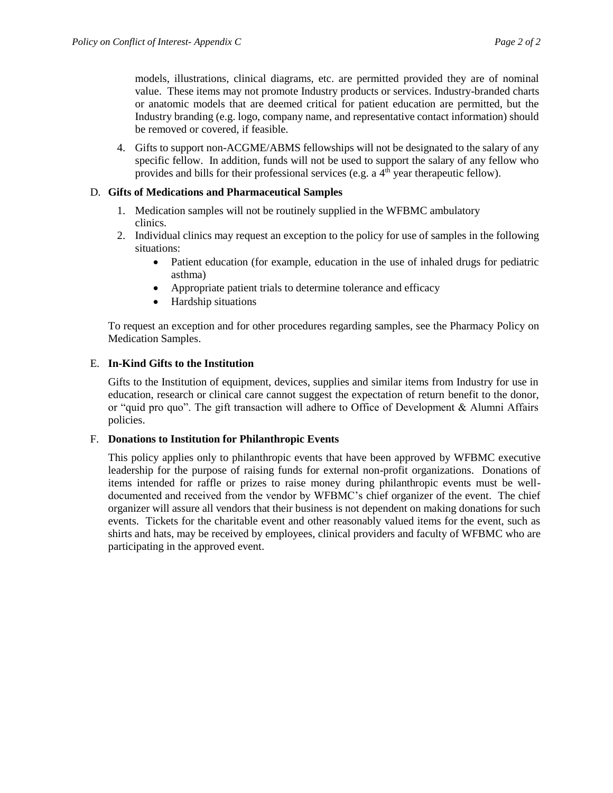models, illustrations, clinical diagrams, etc. are permitted provided they are of nominal value. These items may not promote Industry products or services. Industry-branded charts or anatomic models that are deemed critical for patient education are permitted, but the Industry branding (e.g. logo, company name, and representative contact information) should be removed or covered, if feasible.

4. Gifts to support non-ACGME/ABMS fellowships will not be designated to the salary of any specific fellow. In addition, funds will not be used to support the salary of any fellow who provides and bills for their professional services (e.g. a 4<sup>th</sup> year therapeutic fellow).

### D. **Gifts of Medications and Pharmaceutical Samples**

- 1. Medication samples will not be routinely supplied in the WFBMC ambulatory clinics.
- 2. Individual clinics may request an exception to the policy for use of samples in the following situations:
	- Patient education (for example, education in the use of inhaled drugs for pediatric asthma)
	- Appropriate patient trials to determine tolerance and efficacy
	- Hardship situations

To request an exception and for other procedures regarding samples, see the Pharmacy Policy on Medication Samples.

### E. **In-Kind Gifts to the Institution**

Gifts to the Institution of equipment, devices, supplies and similar items from Industry for use in education, research or clinical care cannot suggest the expectation of return benefit to the donor, or "quid pro quo". The gift transaction will adhere to Office of Development & Alumni Affairs policies.

### F. **Donations to Institution for Philanthropic Events**

This policy applies only to philanthropic events that have been approved by WFBMC executive leadership for the purpose of raising funds for external non-profit organizations. Donations of items intended for raffle or prizes to raise money during philanthropic events must be welldocumented and received from the vendor by WFBMC's chief organizer of the event. The chief organizer will assure all vendors that their business is not dependent on making donations for such events. Tickets for the charitable event and other reasonably valued items for the event, such as shirts and hats, may be received by employees, clinical providers and faculty of WFBMC who are participating in the approved event.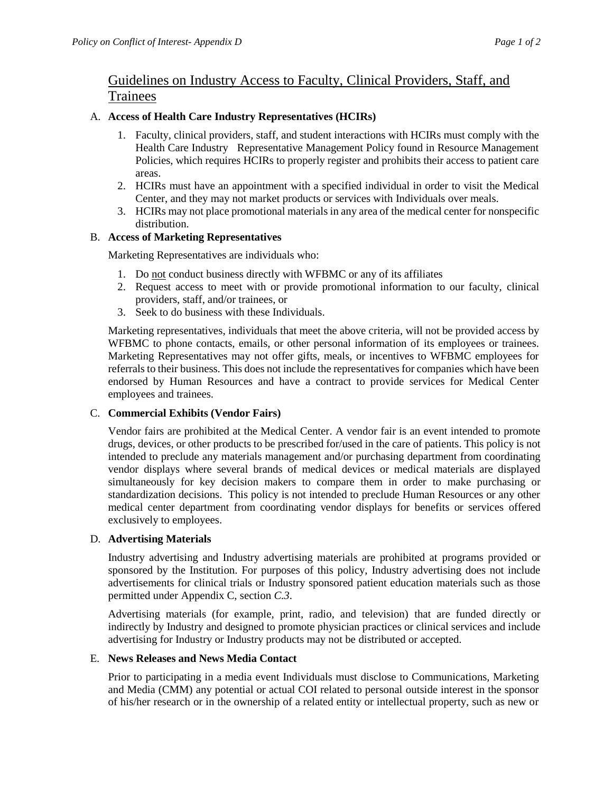# Guidelines on Industry Access to Faculty, Clinical Providers, Staff, and Trainees

# A. **Access of Health Care Industry Representatives (HCIRs)**

- 1. Faculty, clinical providers, staff, and student interactions with HCIRs must comply with the Health Care Industry Representative Management Policy found in Resource Management Policies, which requires HCIRs to properly register and prohibits their access to patient care areas.
- 2. HCIRs must have an appointment with a specified individual in order to visit the Medical Center, and they may not market products or services with Individuals over meals.
- 3. HCIRs may not place promotional materials in any area of the medical center for nonspecific distribution.

# B. **Access of Marketing Representatives**

Marketing Representatives are individuals who:

- 1. Do not conduct business directly with WFBMC or any of its affiliates
- 2. Request access to meet with or provide promotional information to our faculty, clinical providers, staff, and/or trainees, or
- 3. Seek to do business with these Individuals.

Marketing representatives, individuals that meet the above criteria, will not be provided access by WFBMC to phone contacts, emails, or other personal information of its employees or trainees. Marketing Representatives may not offer gifts, meals, or incentives to WFBMC employees for referrals to their business. This does not include the representatives for companies which have been endorsed by Human Resources and have a contract to provide services for Medical Center employees and trainees.

# C. **Commercial Exhibits (Vendor Fairs)**

Vendor fairs are prohibited at the Medical Center. A vendor fair is an event intended to promote drugs, devices, or other products to be prescribed for/used in the care of patients. This policy is not intended to preclude any materials management and/or purchasing department from coordinating vendor displays where several brands of medical devices or medical materials are displayed simultaneously for key decision makers to compare them in order to make purchasing or standardization decisions. This policy is not intended to preclude Human Resources or any other medical center department from coordinating vendor displays for benefits or services offered exclusively to employees.

### D. **Advertising Materials**

Industry advertising and Industry advertising materials are prohibited at programs provided or sponsored by the Institution. For purposes of this policy, Industry advertising does not include advertisements for clinical trials or Industry sponsored patient education materials such as those permitted under Appendix C, section *C.3*.

Advertising materials (for example, print, radio, and television) that are funded directly or indirectly by Industry and designed to promote physician practices or clinical services and include advertising for Industry or Industry products may not be distributed or accepted.

### E. **News Releases and News Media Contact**

Prior to participating in a media event Individuals must disclose to Communications, Marketing and Media (CMM) any potential or actual COI related to personal outside interest in the sponsor of his/her research or in the ownership of a related entity or intellectual property, such as new or